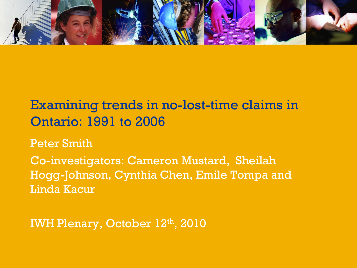

# Examining trends in no-lost-time claims in Ontario: 1991 to 2006

Peter Smith

Co-investigators: Cameron Mustard, Sheilah Hogg-Johnson, Cynthia Chen, Emile Tompa and Linda Kacur

IWH Plenary, October 12th, 2010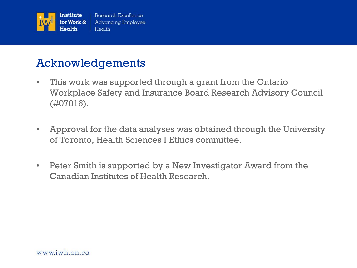

#### Acknowledgements

- This work was supported through a grant from the Ontario Workplace Safety and Insurance Board Research Advisory Council (#07016).
- Approval for the data analyses was obtained through the University of Toronto, Health Sciences I Ethics committee.
- Peter Smith is supported by a New Investigator Award from the Canadian Institutes of Health Research.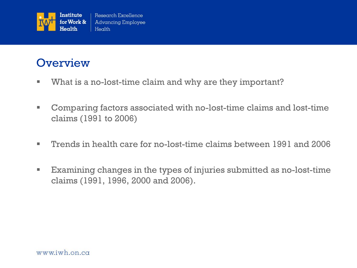

#### **Overview**

- **What is a no-lost-time claim and why are they important?**
- Comparing factors associated with no-lost-time claims and lost-time claims (1991 to 2006)
- Trends in health care for no-lost-time claims between 1991 and 2006
- Examining changes in the types of injuries submitted as no-lost-time claims (1991, 1996, 2000 and 2006).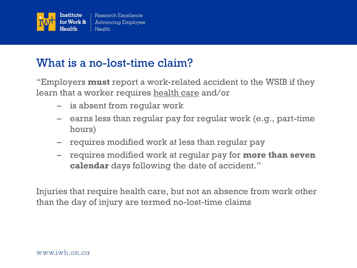

#### What is a no-lost-time claim?

"Employers **must** report a work-related accident to the WSIB if they learn that a worker requires health care and/or

- is absent from regular work
- earns less than regular pay for regular work (e.g., part-time hours)
- requires modified work at less than regular pay
- requires modified work at regular pay for **more than seven calendar** days following the date of accident."

Injuries that require health care, but not an absence from work other than the day of injury are termed no-lost-time claims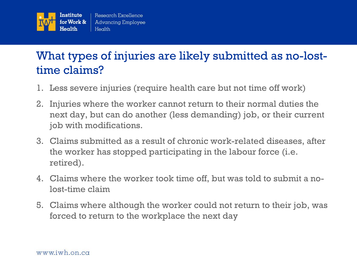

# What types of injuries are likely submitted as no-losttime claims?

- 1. Less severe injuries (require health care but not time off work)
- 2. Injuries where the worker cannot return to their normal duties the next day, but can do another (less demanding) job, or their current job with modifications.
- 3. Claims submitted as a result of chronic work-related diseases, after the worker has stopped participating in the labour force (i.e. retired).
- 4. Claims where the worker took time off, but was told to submit a nolost-time claim
- 5. Claims where although the worker could not return to their job, was forced to return to the workplace the next day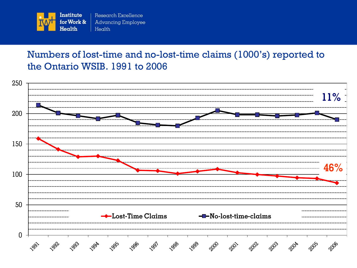

#### Numbers of lost-time and no-lost-time claims (1000's) reported to the Ontario WSIB. 1991 to 2006

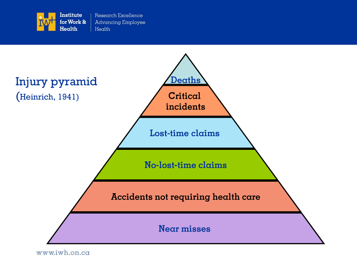



www.iwh.on.ca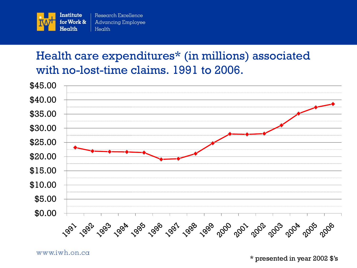

# Health care expenditures\* (in millions) associated with no-lost-time claims. 1991 to 2006.



www.iwh.on.ca

\* presented in year 2002 \$'s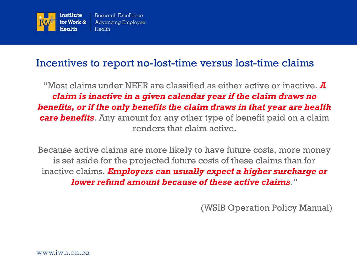

#### Incentives to report no-lost-time versus lost-time claims

"Most claims under NEER are classified as either active or inactive. *A claim is inactive in a given calendar year if the claim draws no benefits, or if the only benefits the claim draws in that year are health care benefits*. Any amount for any other type of benefit paid on a claim renders that claim active.

Because active claims are more likely to have future costs, more money is set aside for the projected future costs of these claims than for inactive claims. *Employers can usually expect a higher surcharge or lower refund amount because of these active claims*."

(WSIB Operation Policy Manual)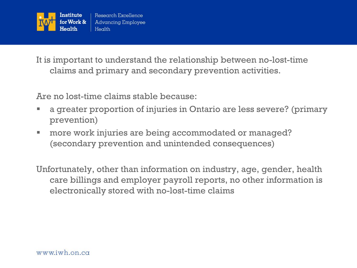

It is important to understand the relationship between no-lost-time claims and primary and secondary prevention activities.

Are no lost-time claims stable because:

- a greater proportion of injuries in Ontario are less severe? (primary prevention)
- more work injuries are being accommodated or managed? (secondary prevention and unintended consequences)

Unfortunately, other than information on industry, age, gender, health care billings and employer payroll reports, no other information is electronically stored with no-lost-time claims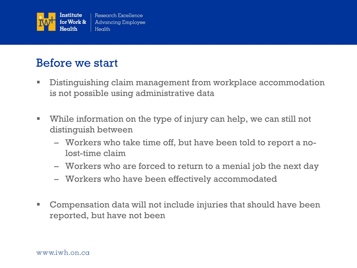

#### Before we start

- **Distinguishing claim management from workplace accommodation** is not possible using administrative data
- While information on the type of injury can help, we can still not distinguish between
	- Workers who take time off, but have been told to report a nolost-time claim
	- Workers who are forced to return to a menial job the next day
	- Workers who have been effectively accommodated
- Compensation data will not include injuries that should have been reported, but have not been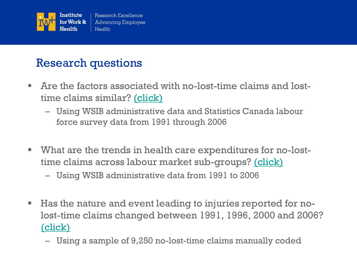

# Research questions

- Are the factors associated with no-lost-time claims and losttime claims similar? [\(click\)](#page-12-0)
	- Using WSIB administrative data and Statistics Canada labour force survey data from 1991 through 2006
- What are the trends in health care expenditures for no-losttime claims across labour market sub-groups? <u>(click)</u>
	- Using WSIB administrative data from 1991 to 2006
- Has the nature and event leading to injuries reported for nolost-time claims changed between 1991, 1996, 2000 and 2006? [\(click\)](#page-31-0)
	- Using a sample of 9,250 no-lost-time claims manually coded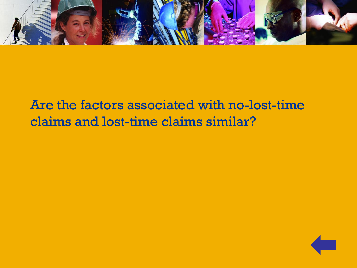

# <span id="page-12-0"></span>Are the factors associated with no-lost-time claims and lost-time claims similar?

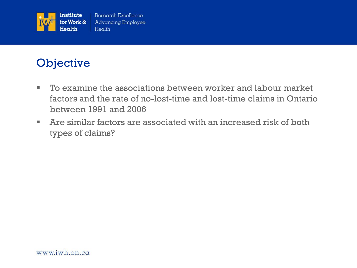

# **Objective**

- To examine the associations between worker and labour market factors and the rate of no-lost-time and lost-time claims in Ontario between 1991 and 2006
- Are similar factors are associated with an increased risk of both types of claims?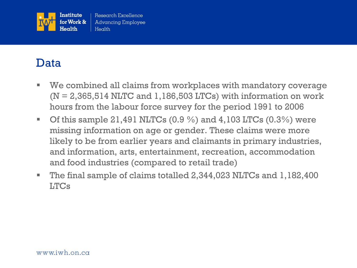

#### Data

- We combined all claims from workplaces with mandatory coverage  $(N = 2,365,514$  NLTC and 1,186,503 LTCs) with information on work hours from the labour force survey for the period 1991 to 2006
- Of this sample 21,491 NLTCs  $(0.9\%)$  and 4,103 LTCs  $(0.3\%)$  were missing information on age or gender. These claims were more likely to be from earlier years and claimants in primary industries, and information, arts, entertainment, recreation, accommodation and food industries (compared to retail trade)
- The final sample of claims totalled 2,344,023 NLTCs and 1,182,400 LTCs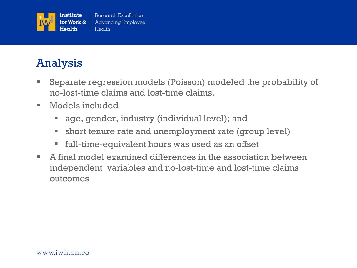

# Analysis

- Separate regression models (Poisson) modeled the probability of no-lost-time claims and lost-time claims.
- Models included
	- age, gender, industry (individual level); and
	- **short tenure rate and unemployment rate (group level)**
	- full-time-equivalent hours was used as an offset
- A final model examined differences in the association between independent variables and no-lost-time and lost-time claims outcomes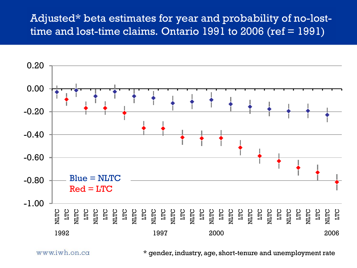#### Adjusted\* beta estimates for year and probability of no-losttime and lost-time claims. Ontario  $\overline{1991}$  to 2006 (ref =  $\overline{1991}$ )



www.iwh.on.ca

\* gender, industry, age, short-tenure and unemployment rate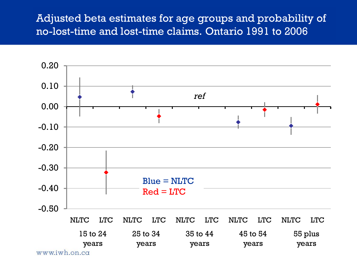#### Adjusted beta estimates for age groups and probability of no-lost-time and lost-time claims. Ontario 1991 to 2006

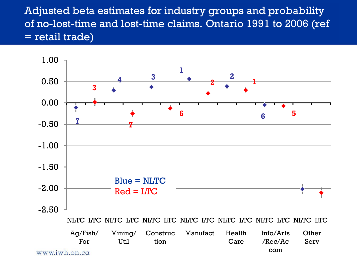Adjusted beta estimates for industry groups and probability of no-lost-time and lost-time claims. Ontario 1991 to 2006 (ref = retail trade)

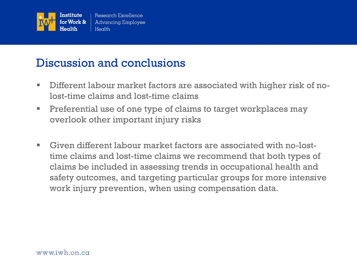

#### Discussion and conclusions

- Different labour market factors are associated with higher risk of nolost-time claims and lost-time claims
- **Preferential use of one type of claims to target workplaces may** overlook other important injury risks
- Given different labour market factors are associated with no-losttime claims and lost-time claims we recommend that both types of claims be included in assessing trends in occupational health and safety outcomes, and targeting particular groups for more intensive work injury prevention, when using compensation data.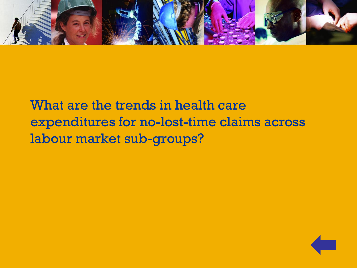

<span id="page-20-0"></span>What are the trends in health care expenditures for no-lost-time claims across labour market sub-groups?

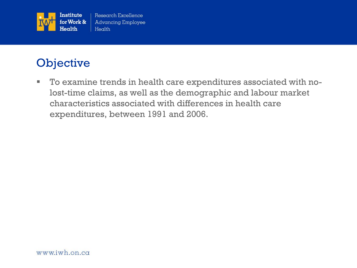

# **Objective**

 To examine trends in health care expenditures associated with nolost-time claims, as well as the demographic and labour market characteristics associated with differences in health care expenditures, between 1991 and 2006.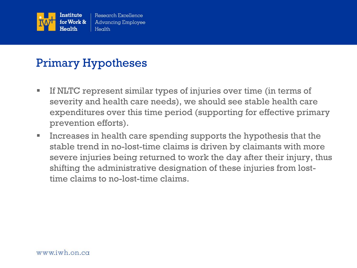

## Primary Hypotheses

- If NLTC represent similar types of injuries over time (in terms of severity and health care needs), we should see stable health care expenditures over this time period (supporting for effective primary prevention efforts).
- Increases in health care spending supports the hypothesis that the stable trend in no-lost-time claims is driven by claimants with more severe injuries being returned to work the day after their injury, thus shifting the administrative designation of these injuries from losttime claims to no-lost-time claims.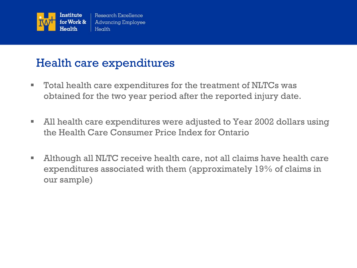

### Health care expenditures

- Total health care expenditures for the treatment of NLTCs was obtained for the two year period after the reported injury date.
- All health care expenditures were adjusted to Year 2002 dollars using the Health Care Consumer Price Index for Ontario
- Although all NLTC receive health care, not all claims have health care expenditures associated with them (approximately 19% of claims in our sample)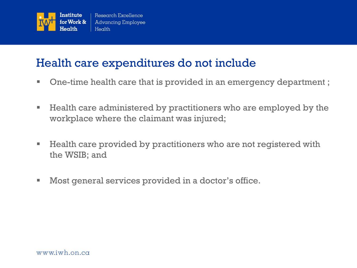

#### Health care expenditures do not include

- One-time health care that is provided in an emergency department ;
- Health care administered by practitioners who are employed by the workplace where the claimant was injured;
- Health care provided by practitioners who are not registered with the WSIB; and
- Most general services provided in a doctor's office.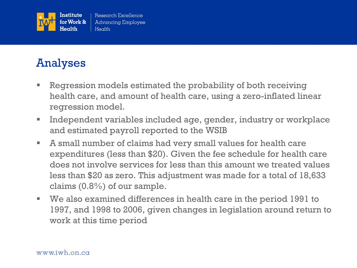

# Analyses

- **Regression models estimated the probability of both receiving** health care, and amount of health care, using a zero-inflated linear regression model.
- **Independent variables included age, gender, industry or workplace** and estimated payroll reported to the WSIB
- A small number of claims had very small values for health care expenditures (less than \$20). Given the fee schedule for health care does not involve services for less than this amount we treated values less than \$20 as zero. This adjustment was made for a total of 18,633 claims (0.8%) of our sample.
- We also examined differences in health care in the period 1991 to 1997, and 1998 to 2006, given changes in legislation around return to work at this time period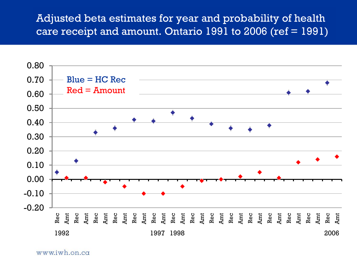#### Adjusted beta estimates for year and probability of health care receipt and amount. Ontario 1991 to 2006 (ref = 1991)



www.iwh.on.ca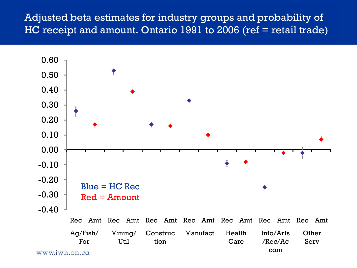#### Adjusted beta estimates for industry groups and probability of HC receipt and amount. Ontario 1991 to 2006 (ref = retail trade)

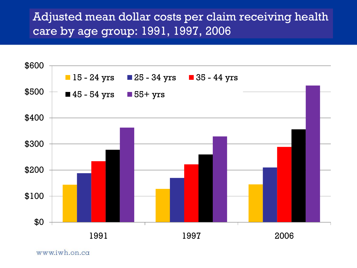## Adjusted mean dollar costs per claim receiving health care by age group: 1991, 1997, 2006



www.iwh.on.ca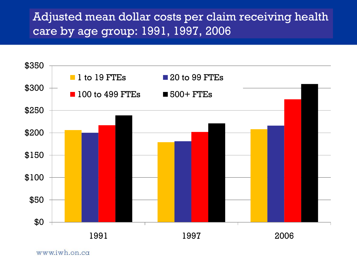# Adjusted mean dollar costs per claim receiving health care by age group: 1991, 1997, 2006



www.iwh.on.ca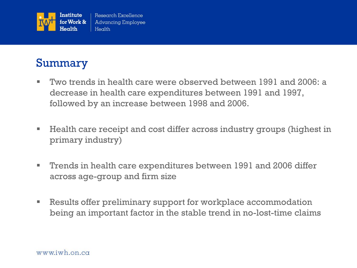

### Summary

- Two trends in health care were observed between 1991 and 2006: a decrease in health care expenditures between 1991 and 1997, followed by an increase between 1998 and 2006.
- **Health care receipt and cost differ across industry groups (highest in** primary industry)
- Trends in health care expenditures between 1991 and 2006 differ across age-group and firm size
- **EXECT** Results offer preliminary support for workplace accommodation being an important factor in the stable trend in no-lost-time claims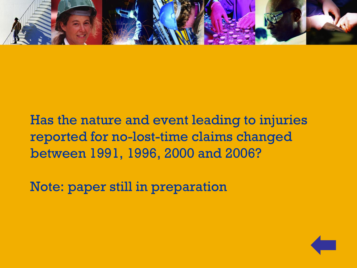

# Has the nature and event leading to injuries reported for no-lost-time claims changed between 1991, 1996, 2000 and 2006?

<span id="page-31-0"></span>Note: paper still in preparation

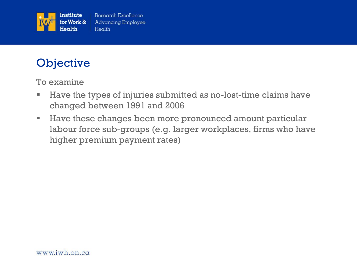

# **Objective**

To examine

- Have the types of injuries submitted as no-lost-time claims have changed between 1991 and 2006
- Have these changes been more pronounced amount particular labour force sub-groups (e.g. larger workplaces, firms who have higher premium payment rates)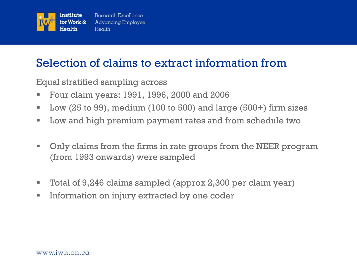

### Selection of claims to extract information from

Equal stratified sampling across

- Four claim years: 1991, 1996, 2000 and 2006
- Low  $(25 \text{ to } 99)$ , medium  $(100 \text{ to } 500)$  and large  $(500+)$  firm sizes
- **Low and high premium payment rates and from schedule two**
- Only claims from the firms in rate groups from the NEER program (from 1993 onwards) were sampled
- Total of 9,246 claims sampled (approx 2,300 per claim year)
- **Information on injury extracted by one coder**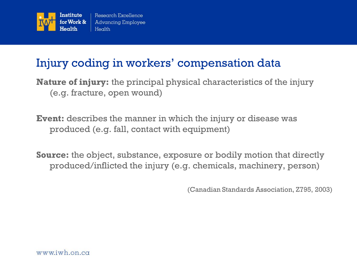

## Injury coding in workers' compensation data

**Nature of injury:** the principal physical characteristics of the injury (e.g. fracture, open wound)

**Event:** describes the manner in which the injury or disease was produced (e.g. fall, contact with equipment)

**Source:** the object, substance, exposure or bodily motion that directly produced/inflicted the injury (e.g. chemicals, machinery, person)

(Canadian Standards Association, Z795, 2003)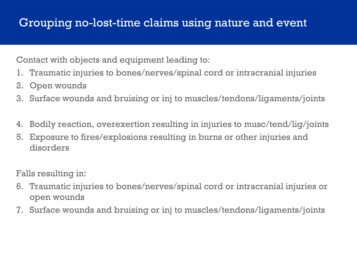# Grouping no-lost-time claims using nature and event

Contact with objects and equipment leading to:

- 1. Traumatic injuries to bones/nerves/spinal cord or intracranial injuries
- 2. Open wounds
- 3. Surface wounds and bruising or inj to muscles/tendons/ligaments/joints
- 4. Bodily reaction, overexertion resulting in injuries to musc/tend/lig/joints
- 5. Exposure to fires/explosions resulting in burns or other injuries and disorders

Falls resulting in:

- 6. Traumatic injuries to bones/nerves/spinal cord or intracranial injuries or open wounds
- 7. Surface wounds and bruising or inj to muscles/tendons/ligaments/joints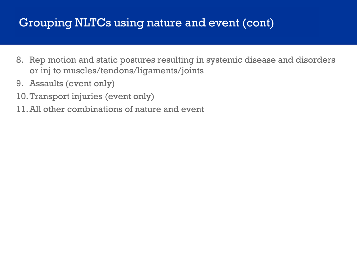### Grouping NLTCs using nature and event (cont)

- 8. Rep motion and static postures resulting in systemic disease and disorders or inj to muscles/tendons/ligaments/joints
- 9. Assaults (event only)
- 10.Transport injuries (event only)
- 11.All other combinations of nature and event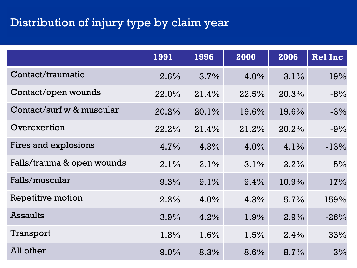# Distribution of injury type by claim year

|                            | 1991  | 1996    | 2000    | 2006  | <b>Rel Inc</b> |
|----------------------------|-------|---------|---------|-------|----------------|
| Contact/traumatic          | 2.6%  | 3.7%    | $4.0\%$ | 3.1%  | 19%            |
| Contact/open wounds        | 22.0% | 21.4%   | 22.5%   | 20.3% | $-8%$          |
| Contact/surf w & muscular  | 20.2% | 20.1%   | 19.6%   | 19.6% | $-3%$          |
| Overexertion               | 22.2% | 21.4%   | 21.2%   | 20.2% | $-9%$          |
| Fires and explosions       | 4.7%  | 4.3%    | 4.0%    | 4.1%  | $-13%$         |
| Falls/trauma & open wounds | 2.1%  | 2.1%    | 3.1%    | 2.2%  | 5%             |
| Falls/muscular             | 9.3%  | $9.1\%$ | 9.4%    | 10.9% | 17%            |
| Repetitive motion          | 2.2%  | $4.0\%$ | 4.3%    | 5.7%  | 159%           |
| <b>Assaults</b>            | 3.9%  | 4.2%    | 1.9%    | 2.9%  | $-26%$         |
| Transport                  | 1.8%  | 1.6%    | 1.5%    | 2.4%  | 33%            |
| All other                  | 9.0%  | 8.3%    | 8.6%    | 8.7%  | $-3%$          |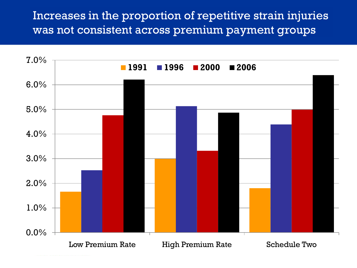Increases in the proportion of repetitive strain injuries was not consistent across premium payment groups

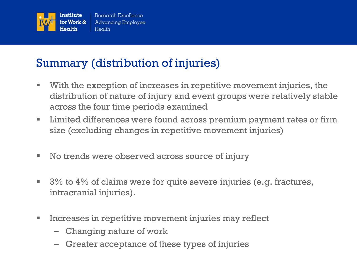

# Summary (distribution of injuries)

- With the exception of increases in repetitive movement injuries, the distribution of nature of injury and event groups were relatively stable across the four time periods examined
- **EXTE:** Limited differences were found across premium payment rates or firm size (excluding changes in repetitive movement injuries)
- No trends were observed across source of injury
- $\blacksquare$  3% to 4% of claims were for quite severe injuries (e.g. fractures, intracranial injuries).
- **Increases in repetitive movement injuries may reflect** 
	- Changing nature of work
	- Greater acceptance of these types of injuries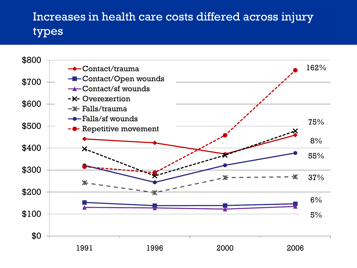# Increases in health care costs differed across injury types

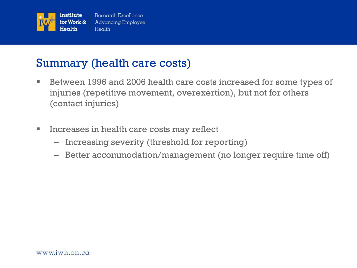

#### Summary (health care costs)

- Between 1996 and 2006 health care costs increased for some types of injuries (repetitive movement, overexertion), but not for others (contact injuries)
- **Increases in health care costs may reflect** 
	- Increasing severity (threshold for reporting)
	- Better accommodation/management (no longer require time off)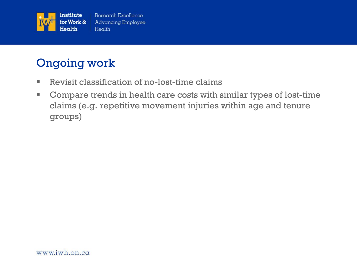

# Ongoing work

- Revisit classification of no-lost-time claims
- Compare trends in health care costs with similar types of lost-time claims (e.g. repetitive movement injuries within age and tenure groups)